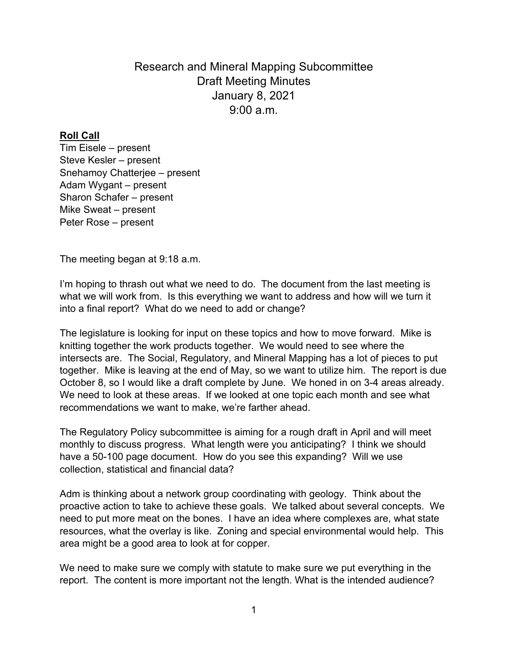Research and Mineral Mapping Subcommittee Draft Meeting Minutes January 8, 2021  $9.00 a m$ 

## **Roll Call**

Tim Eisele – present Steve Kesler – present Snehamoy Chatterjee – present Adam Wygant – present Sharon Schafer – present Mike Sweat – present Peter Rose – present

The meeting began at 9:18 a.m.

I'm hoping to thrash out what we need to do. The document from the last meeting is what we will work from. Is this everything we want to address and how will we turn it into a final report? What do we need to add or change?

The legislature is looking for input on these topics and how to move forward. Mike is knitting together the work products together. We would need to see where the intersects are. The Social, Regulatory, and Mineral Mapping has a lot of pieces to put together. Mike is leaving at the end of May, so we want to utilize him. The report is due October 8, so I would like a draft complete by June. We honed in on 3-4 areas already. We need to look at these areas. If we looked at one topic each month and see what recommendations we want to make, we're farther ahead.

The Regulatory Policy subcommittee is aiming for a rough draft in April and will meet monthly to discuss progress. What length were you anticipating? I think we should have a 50-100 page document. How do you see this expanding? Will we use collection, statistical and financial data?

Adm is thinking about a network group coordinating with geology. Think about the proactive action to take to achieve these goals. We talked about several concepts. We need to put more meat on the bones. I have an idea where complexes are, what state resources, what the overlay is like. Zoning and special environmental would help. This area might be a good area to look at for copper.

We need to make sure we comply with statute to make sure we put everything in the report. The content is more important not the length. What is the intended audience?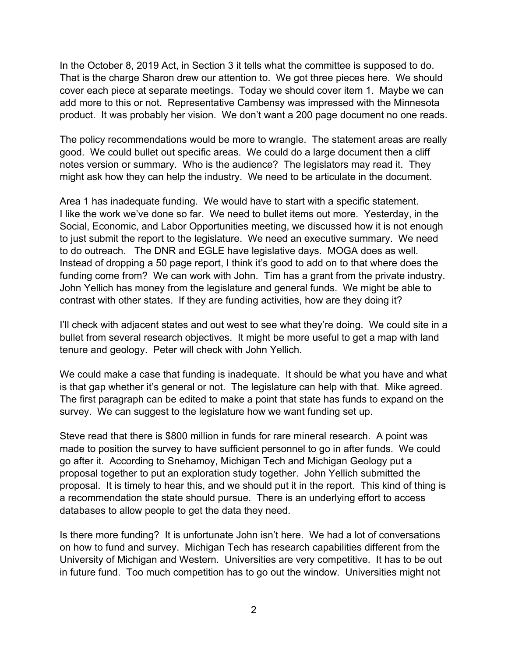In the October 8, 2019 Act, in Section 3 it tells what the committee is supposed to do. That is the charge Sharon drew our attention to. We got three pieces here. We should cover each piece at separate meetings. Today we should cover item 1. Maybe we can add more to this or not. Representative Cambensy was impressed with the Minnesota product. It was probably her vision. We don't want a 200 page document no one reads.

The policy recommendations would be more to wrangle. The statement areas are really good. We could bullet out specific areas. We could do a large document then a cliff notes version or summary. Who is the audience? The legislators may read it. They might ask how they can help the industry. We need to be articulate in the document.

Area 1 has inadequate funding. We would have to start with a specific statement. I like the work we've done so far. We need to bullet items out more. Yesterday, in the Social, Economic, and Labor Opportunities meeting, we discussed how it is not enough to just submit the report to the legislature. We need an executive summary. We need to do outreach. The DNR and EGLE have legislative days. MOGA does as well. Instead of dropping a 50 page report, I think it's good to add on to that where does the funding come from? We can work with John. Tim has a grant from the private industry. John Yellich has money from the legislature and general funds. We might be able to contrast with other states. If they are funding activities, how are they doing it?

I'll check with adjacent states and out west to see what they're doing. We could site in a bullet from several research objectives. It might be more useful to get a map with land tenure and geology. Peter will check with John Yellich.

We could make a case that funding is inadequate. It should be what you have and what is that gap whether it's general or not. The legislature can help with that. Mike agreed. The first paragraph can be edited to make a point that state has funds to expand on the survey. We can suggest to the legislature how we want funding set up.

Steve read that there is \$800 million in funds for rare mineral research. A point was made to position the survey to have sufficient personnel to go in after funds. We could go after it. According to Snehamoy, Michigan Tech and Michigan Geology put a proposal together to put an exploration study together. John Yellich submitted the proposal. It is timely to hear this, and we should put it in the report. This kind of thing is a recommendation the state should pursue. There is an underlying effort to access databases to allow people to get the data they need.

Is there more funding? It is unfortunate John isn't here. We had a lot of conversations on how to fund and survey. Michigan Tech has research capabilities different from the University of Michigan and Western. Universities are very competitive. It has to be out in future fund. Too much competition has to go out the window. Universities might not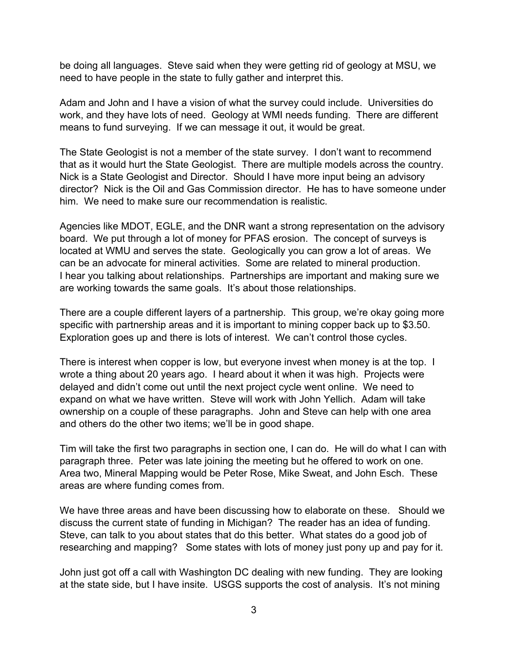be doing all languages. Steve said when they were getting rid of geology at MSU, we need to have people in the state to fully gather and interpret this.

Adam and John and I have a vision of what the survey could include. Universities do work, and they have lots of need. Geology at WMI needs funding. There are different means to fund surveying. If we can message it out, it would be great.

The State Geologist is not a member of the state survey. I don't want to recommend that as it would hurt the State Geologist. There are multiple models across the country. Nick is a State Geologist and Director. Should I have more input being an advisory director? Nick is the Oil and Gas Commission director. He has to have someone under him. We need to make sure our recommendation is realistic.

Agencies like MDOT, EGLE, and the DNR want a strong representation on the advisory board. We put through a lot of money for PFAS erosion. The concept of surveys is located at WMU and serves the state. Geologically you can grow a lot of areas. We can be an advocate for mineral activities. Some are related to mineral production. I hear you talking about relationships. Partnerships are important and making sure we are working towards the same goals. It's about those relationships.

There are a couple different layers of a partnership. This group, we're okay going more specific with partnership areas and it is important to mining copper back up to \$3.50. Exploration goes up and there is lots of interest. We can't control those cycles.

There is interest when copper is low, but everyone invest when money is at the top. I wrote a thing about 20 years ago. I heard about it when it was high. Projects were delayed and didn't come out until the next project cycle went online. We need to expand on what we have written. Steve will work with John Yellich. Adam will take ownership on a couple of these paragraphs. John and Steve can help with one area and others do the other two items; we'll be in good shape.

Tim will take the first two paragraphs in section one, I can do. He will do what I can with paragraph three. Peter was late joining the meeting but he offered to work on one. Area two, Mineral Mapping would be Peter Rose, Mike Sweat, and John Esch. These areas are where funding comes from.

We have three areas and have been discussing how to elaborate on these. Should we discuss the current state of funding in Michigan? The reader has an idea of funding. Steve, can talk to you about states that do this better. What states do a good job of researching and mapping? Some states with lots of money just pony up and pay for it.

John just got off a call with Washington DC dealing with new funding. They are looking at the state side, but I have insite. USGS supports the cost of analysis. It's not mining